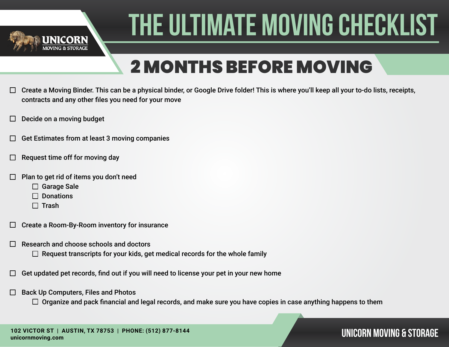

## 2 MONTHS BEFORE MOVING

- Create a Moving Binder. This can be a physical binder, or Google Drive folder! This is where you'll keep all your to-do lists, receipts,  $\Box$ contracts and any other files you need for your move
- Decide on a moving budget
- Get Estimates from at least 3 moving companies
- Request time off for moving day
- Plan to get rid of items you don't need
	- □ Garage Sale
	- $\Box$  Donations
	- $\Box$  Trash
- Create a Room-By-Room inventory for insurance  $\Box$
- Research and choose schools and doctors
	- $\Box$  Request transcripts for your kids, get medical records for the whole family
- Get updated pet records, find out if you will need to license your pet in your new home
- Back Up Computers, Files and Photos  $\Box$ 
	- $\Box$  Organize and pack financial and legal records, and make sure you have copies in case anything happens to them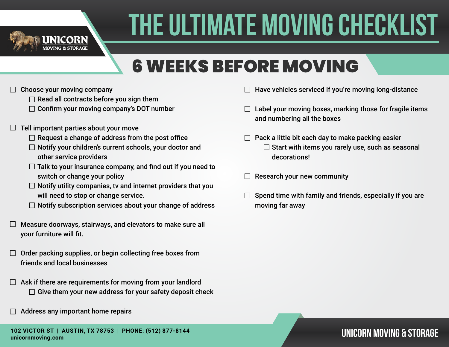

## 6 WEEKS BEFORE MOVING

- Choose your moving company  $\Box$ 
	- $\Box$  Read all contracts before you sign them
	- $\Box$  Confirm your moving company's DOT number
- $\Box$  Tell important parties about your move
	- $\Box$  Request a change of address from the post office
	- $\Box$  Notify your children's current schools, your doctor and other service providers
	- $\Box$  Talk to your insurance company, and find out if you need to switch or change your policy
	- $\Box$  Notify utility companies, tv and internet providers that you will need to stop or change service.
	- $\Box$  Notify subscription services about your change of address
- $\Box$  Measure doorways, stairways, and elevators to make sure all your furniture will fit.
- $\Box$  Order packing supplies, or begin collecting free boxes from friends and local businesses
- $\Box$  Ask if there are requirements for moving from your landlord  $\Box$  Give them your new address for your safety deposit check
- Address any important home repairs
- $\Box$  Have vehicles serviced if you're moving long-distance
- $\Box$  Label your moving boxes, marking those for fragile items and numbering all the boxes
- $\Box$  Pack a little bit each day to make packing easier  $\square$  Start with items you rarely use, such as seasonal decorations!
- Research your new community  $\Box$
- Spend time with family and friends, especially if you are moving far away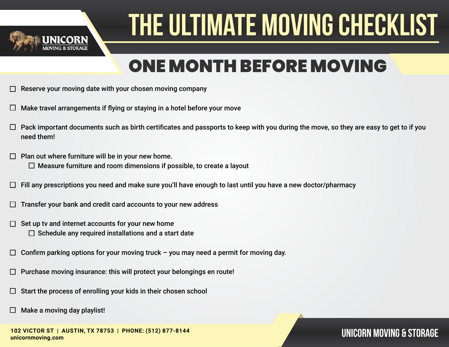

### ONE MONTH BEFORE MOVING

- Reserve your moving date with your chosen moving company
- Make travel arrangements if flying or staying in a hotel before your move
- Pack important documents such as birth certificates and passports to keep with you during the move, so they are easy to get to if you need them!
- Plan out where furniture will be in your new home. П.  $\Box$  Measure furniture and room dimensions if possible, to create a layout
- Fill any prescriptions you need and make sure you'll have enough to last until you have a new doctor/pharmacy
- Transfer your bank and credit card accounts to your new address
- Set up tv and internet accounts for your new home П  $\Box$  Schedule any required installations and a start date
- Confirm parking options for your moving truck you may need a permit for moving day. П
- Purchase moving insurance: this will protect your belongings en route!
- Start the process of enrolling your kids in their chosen school
- Make a moving day playlist!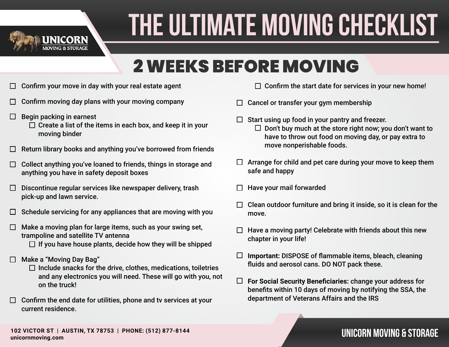

### 2 WEEKS BEFORE MOVING

- Confirm your move in day with your real estate agent  $\Box$
- Confirm moving day plans with your moving company
- Begin packing in earnest  $\Box$ 
	- $\Box$  Create a list of the items in each box, and keep it in your moving binder
- Return library books and anything you've borrowed from friends
- Collect anything you've loaned to friends, things in storage and  $\Box$ anything you have in safety deposit boxes
- Discontinue regular services like newspaper delivery, trash  $\Box$ pick-up and lawn service.
- Schedule servicing for any appliances that are moving with you П
- Make a moving plan for large items, such as your swing set,  $\Box$ trampoline and satellite TV antenna
	- $\Box$  If you have house plants, decide how they will be shipped
- Make a "Moving Day Bag"
	- $\Box$  Include snacks for the drive, clothes, medications, toiletries and any electronics you will need. These will go with you, not on the truck!
- $\Box$  Confirm the end date for utilities, phone and tv services at your current residence.
- $\Box$  Confirm the start date for services in your new home!
- Cancel or transfer your gym membership  $\Box$
- Start using up food in your pantry and freezer.  $\Box$  Don't buy much at the store right now; you don't want to have to throw out food on moving day, or pay extra to move nonperishable foods.
- $\Box$  Arrange for child and pet care during your move to keep them safe and happy
- Have your mail forwarded
- Clean outdoor furniture and bring it inside, so it is clean for the move.
- Have a moving party! Celebrate with friends about this new chapter in your life!
- $\Box$ **Important:** DISPOSE of flammable items, bleach, cleaning fluids and aerosol cans. DO NOT pack these.
- $\Box$ **For Social Security Beneficiaries:** change your address for benefits within 10 days of moving by notifying the SSA, the department of Veterans Affairs and the IRS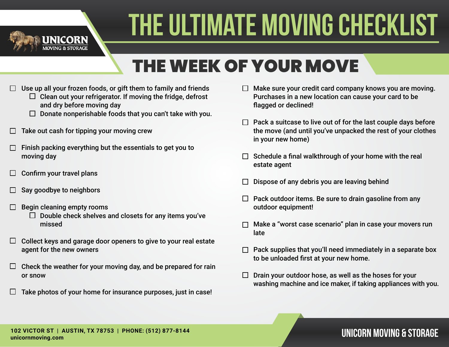

### THE WEEK OF YOUR MOVE

- Use up all your frozen foods, or gift them to family and friends
	- $\Box$  Clean out your refrigerator. If moving the fridge, defrost and dry before moving day
	- $\Box$  Donate nonperishable foods that you can't take with you.
- Take out cash for tipping your moving crew
- Finish packing everything but the essentials to get you to moving day
- Confirm your travel plans  $\Box$
- Say goodbye to neighbors
- Begin cleaning empty rooms
	- $\Box$  Double check shelves and closets for any items you've missed
- Collect keys and garage door openers to give to your real estate  $\Box$ agent for the new owners
- Check the weather for your moving day, and be prepared for rain  $\Box$ or snow
- Take photos of your home for insurance purposes, just in case!  $\mathbf{L}$
- $\Box$  Make sure your credit card company knows you are moving. Purchases in a new location can cause your card to be flagged or declined!
- $\Box$  Pack a suitcase to live out of for the last couple days before the move (and until you've unpacked the rest of your clothes in your new home)
- $\Box$  Schedule a final walkthrough of your home with the real estate agent
- Dispose of any debris you are leaving behind
- $\Box$  Pack outdoor items. Be sure to drain gasoline from any outdoor equipment!
- Make a "worst case scenario" plan in case your movers run late
- Pack supplies that you'll need immediately in a separate box to be unloaded first at your new home.
- $\Box$  Drain your outdoor hose, as well as the hoses for your washing machine and ice maker, if taking appliances with you.

### **UNICORN MOVING & STORAGE 102 VICTOR ST | AUSTIN, TX 78753 | PHONE: (512) 877-8144 unicornmoving.com**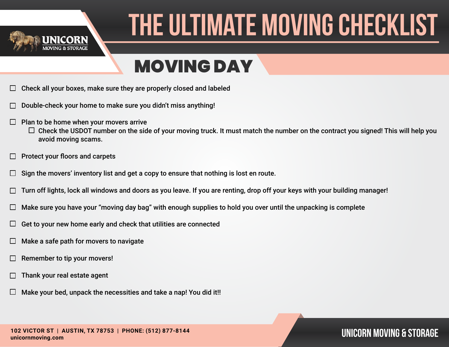

### MOVING DAY

- Check all your boxes, make sure they are properly closed and labeled
- Double-check your home to make sure you didn't miss anything!
- $\Box$ Plan to be home when your movers arrive
	- $\Box$  Check the USDOT number on the side of your moving truck. It must match the number on the contract you signed! This will help you avoid moving scams.
- Protect your floors and carpets
- Sign the movers' inventory list and get a copy to ensure that nothing is lost en route.  $\Box$
- Turn off lights, lock all windows and doors as you leave. If you are renting, drop off your keys with your building manager!
- Make sure you have your "moving day bag" with enough supplies to hold you over until the unpacking is complete
- Get to your new home early and check that utilities are connected ⊔
- Make a safe path for movers to navigate
- Remember to tip your movers!
- Thank your real estate agent
- Make your bed, unpack the necessities and take a nap! You did it!!